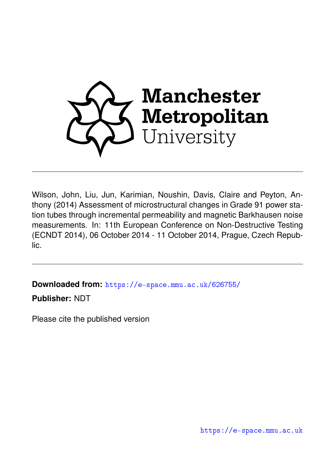

Wilson, John, Liu, Jun, Karimian, Noushin, Davis, Claire and Peyton, Anthony (2014) Assessment of microstructural changes in Grade 91 power station tubes through incremental permeability and magnetic Barkhausen noise measurements. In: 11th European Conference on Non-Destructive Testing (ECNDT 2014), 06 October 2014 - 11 October 2014, Prague, Czech Republic.

**Downloaded from:** <https://e-space.mmu.ac.uk/626755/>

**Publisher:** NDT

Please cite the published version

<https://e-space.mmu.ac.uk>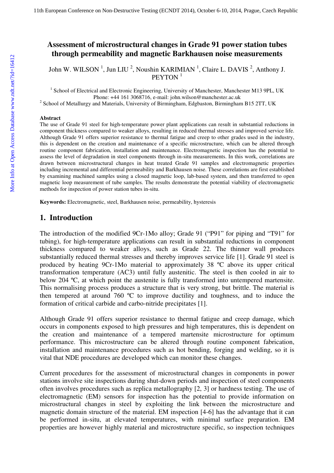## **Assessment of microstructural changes in Grade 91 power station tubes through permeability and magnetic Barkhausen noise measurements**

John W. WILSON<sup>1</sup>, Jun LIU<sup>2</sup>, Noushin KARIMIAN<sup>1</sup>, Claire L. DAVIS<sup>2</sup>, Anthony J. PEYTON<sup>1</sup>

<sup>1</sup> School of Electrical and Electronic Engineering, University of Manchester, Manchester M13 9PL, UK Phone: +44 161 3068716, e-mail: john.wilson@manchester.ac.uk

 $2^{2}$  School of Metallurgy and Materials, University of Birmingham, Edgbaston, Birmingham B15 2TT, UK

#### **Abstract**

The use of Grade 91 steel for high-temperature power plant applications can result in substantial reductions in component thickness compared to weaker alloys, resulting in reduced thermal stresses and improved service life. Although Grade 91 offers superior resistance to thermal fatigue and creep to other grades used in the industry, this is dependent on the creation and maintenance of a specific microstructure, which can be altered through routine component fabrication, installation and maintenance. Electromagnetic inspection has the potential to assess the level of degradation in steel components through in-situ measurements. In this work, correlations are drawn between microstructural changes in heat treated Grade 91 samples and electromagnetic properties including incremental and differential permeability and Barkhausen noise. These correlations are first established by examining machined samples using a closed magnetic loop, lab-based system, and then transferred to open magnetic loop measurement of tube samples. The results demonstrate the potential viability of electromagnetic methods for inspection of power station tubes in-situ.

**Keywords:** Electromagnetic, steel, Barkhausen noise, permeability, hysteresis

#### **1. Introduction**

The introduction of the modified 9Cr-1Mo alloy; Grade 91 ("P91" for piping and "T91" for tubing), for high-temperature applications can result in substantial reductions in component thickness compared to weaker alloys, such as Grade 22. The thinner wall produces substantially reduced thermal stresses and thereby improves service life [1]. Grade 91 steel is produced by heating 9Cr-1Mo material to approximately 38 ºC above its upper critical transformation temperature (AC3) until fully austenitic. The steel is then cooled in air to below 204 ºC, at which point the austenite is fully transformed into untempered martensite. This normalising process produces a structure that is very strong, but brittle. The material is then tempered at around 760 ºC to improve ductility and toughness, and to induce the formation of critical carbide and carbo-nitride precipitates [1].

Although Grade 91 offers superior resistance to thermal fatigue and creep damage, which occurs in components exposed to high pressures and high temperatures, this is dependent on the creation and maintenance of a tempered martensite microstructure for optimum performance. This microstructure can be altered through routine component fabrication, installation and maintenance procedures such as hot bending, forging and welding, so it is vital that NDE procedures are developed which can monitor these changes.

Current procedures for the assessment of microstructural changes in components in power stations involve site inspections during shut-down periods and inspection of steel components often involves procedures such as replica metallography [2, 3] or hardness testing. The use of electromagnetic (EM) sensors for inspection has the potential to provide information on microstructural changes in steel by exploiting the link between the microstructure and magnetic domain structure of the material. EM inspection [4-6] has the advantage that it can be performed in-situ, at elevated temperatures, with minimal surface preparation. EM properties are however highly material and microstructure specific, so inspection techniques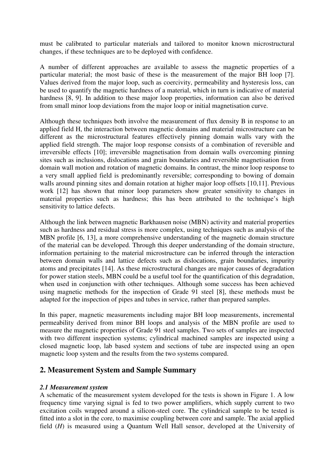must be calibrated to particular materials and tailored to monitor known microstructural changes, if these techniques are to be deployed with confidence.

A number of different approaches are available to assess the magnetic properties of a particular material; the most basic of these is the measurement of the major BH loop [7]. Values derived from the major loop, such as coercivity, permeability and hysteresis loss, can be used to quantify the magnetic hardness of a material, which in turn is indicative of material hardness [8, 9]. In addition to these major loop properties, information can also be derived from small minor loop deviations from the major loop or initial magnetisation curve.

Although these techniques both involve the measurement of flux density B in response to an applied field H, the interaction between magnetic domains and material microstructure can be different as the microstructural features effectively pinning domain walls vary with the applied field strength. The major loop response consists of a combination of reversible and irreversible effects [10]; irreversible magnetisation from domain walls overcoming pinning sites such as inclusions, dislocations and grain boundaries and reversible magnetisation from domain wall motion and rotation of magnetic domains. In contrast, the minor loop response to a very small applied field is predominantly reversible; corresponding to bowing of domain walls around pinning sites and domain rotation at higher major loop offsets [10,11]. Previous work [12] has shown that minor loop parameters show greater sensitivity to changes in material properties such as hardness; this has been attributed to the technique's high sensitivity to lattice defects.

Although the link between magnetic Barkhausen noise (MBN) activity and material properties such as hardness and residual stress is more complex, using techniques such as analysis of the MBN profile [6, 13], a more comprehensive understanding of the magnetic domain structure of the material can be developed. Through this deeper understanding of the domain structure, information pertaining to the material microstructure can be inferred through the interaction between domain walls and lattice defects such as dislocations, grain boundaries, impurity atoms and precipitates [14]. As these microstructural changes are major causes of degradation for power station steels, MBN could be a useful tool for the quantification of this degradation, when used in conjunction with other techniques. Although some success has been achieved using magnetic methods for the inspection of Grade 91 steel [8], these methods must be adapted for the inspection of pipes and tubes in service, rather than prepared samples.

In this paper, magnetic measurements including major BH loop measurements, incremental permeability derived from minor BH loops and analysis of the MBN profile are used to measure the magnetic properties of Grade 91 steel samples. Two sets of samples are inspected with two different inspection systems; cylindrical machined samples are inspected using a closed magnetic loop, lab based system and sections of tube are inspected using an open magnetic loop system and the results from the two systems compared.

# **2. Measurement System and Sample Summary**

#### *2.1 Measurement system*

A schematic of the measurement system developed for the tests is shown in Figure 1. A low frequency time varying signal is fed to two power amplifiers, which supply current to two excitation coils wrapped around a silicon-steel core. The cylindrical sample to be tested is fitted into a slot in the core, to maximise coupling between core and sample. The axial applied field (*H*) is measured using a Quantum Well Hall sensor, developed at the University of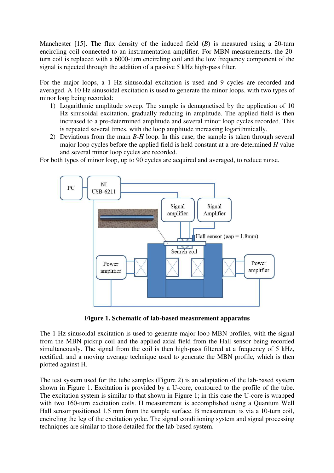Manchester [15]. The flux density of the induced field (*B*) is measured using a 20-turn encircling coil connected to an instrumentation amplifier. For MBN measurements, the 20 turn coil is replaced with a 6000-turn encircling coil and the low frequency component of the signal is rejected through the addition of a passive 5 kHz high-pass filter.

For the major loops, a 1 Hz sinusoidal excitation is used and 9 cycles are recorded and averaged. A 10 Hz sinusoidal excitation is used to generate the minor loops, with two types of minor loop being recorded:

- 1) Logarithmic amplitude sweep. The sample is demagnetised by the application of 10 Hz sinusoidal excitation, gradually reducing in amplitude. The applied field is then increased to a pre-determined amplitude and several minor loop cycles recorded. This is repeated several times, with the loop amplitude increasing logarithmically.
- 2) Deviations from the main *B-H* loop. In this case, the sample is taken through several major loop cycles before the applied field is held constant at a pre-determined *H* value and several minor loop cycles are recorded.

For both types of minor loop, up to 90 cycles are acquired and averaged, to reduce noise.



**Figure 1. Schematic of lab-based measurement apparatus** 

The 1 Hz sinusoidal excitation is used to generate major loop MBN profiles, with the signal from the MBN pickup coil and the applied axial field from the Hall sensor being recorded simultaneously. The signal from the coil is then high-pass filtered at a frequency of 5 kHz, rectified, and a moving average technique used to generate the MBN profile, which is then plotted against H.

The test system used for the tube samples (Figure 2) is an adaptation of the lab-based system shown in Figure 1. Excitation is provided by a U-core, contoured to the profile of the tube. The excitation system is similar to that shown in Figure 1; in this case the U-core is wrapped with two 160-turn excitation coils. H measurement is accomplished using a Quantum Well Hall sensor positioned 1.5 mm from the sample surface. B measurement is via a 10-turn coil, encircling the leg of the excitation yoke. The signal conditioning system and signal processing techniques are similar to those detailed for the lab-based system.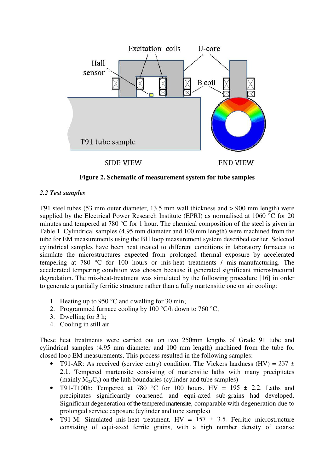

**Figure 2. Schematic of measurement system for tube samples**

### *2.2 Test samples*

T91 steel tubes (53 mm outer diameter, 13.5 mm wall thickness and > 900 mm length) were supplied by the Electrical Power Research Institute (EPRI) as normalised at 1060 °C for 20 minutes and tempered at 780 °C for 1 hour. The chemical composition of the steel is given in Table 1. Cylindrical samples (4.95 mm diameter and 100 mm length) were machined from the tube for EM measurements using the BH loop measurement system described earlier. Selected cylindrical samples have been heat treated to different conditions in laboratory furnaces to simulate the microstructures expected from prolonged thermal exposure by accelerated tempering at 780 °C for 100 hours or mis-heat treatments / mis-manufacturing. The accelerated tempering condition was chosen because it generated significant microstructural degradation. The mis-heat-treatment was simulated by the following procedure [16] in order to generate a partially ferritic structure rather than a fully martensitic one on air cooling:

- 1. Heating up to 950 °C and dwelling for 30 min;
- 2. Programmed furnace cooling by 100  $\mathrm{C}/h$  down to 760  $\mathrm{C}$ ;
- 3. Dwelling for 3 h;
- 4. Cooling in still air.

These heat treatments were carried out on two 250mm lengths of Grade 91 tube and cylindrical samples (4.95 mm diameter and 100 mm length) machined from the tube for closed loop EM measurements. This process resulted in the following samples:

- T91-AR: As received (service entry) condition. The Vickers hardness (HV) =  $237 \pm$ 2.1. Tempered martensite consisting of martensitic laths with many precipitates (mainly  $M_{23}C_6$ ) on the lath boundaries (cylinder and tube samples)
- T91-T100h: Tempered at 780 °C for 100 hours. HV =  $195 \pm 2.2$ . Laths and precipitates significantly coarsened and equi-axed sub-grains had developed. Significant degeneration of the tempered martensite, comparable with degeneration due to prolonged service exposure (cylinder and tube samples)
- T91-M: Simulated mis-heat treatment.  $HV = 157 \pm 3.5$ . Ferritic microstructure consisting of equi-axed ferrite grains, with a high number density of coarse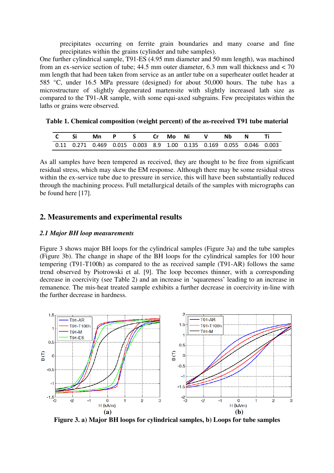precipitates occurring on ferrite grain boundaries and many coarse and fine precipitates within the grains (cylinder and tube samples).

One further cylindrical sample, T91-ES (4.95 mm diameter and 50 mm length), was machined from an ex-service section of tube;  $44.5$  mm outer diameter,  $6.3$  mm wall thickness and  $< 70$ mm length that had been taken from service as an antler tube on a superheater outlet header at 585 °C, under 16.5 MPa pressure (designed) for about 50,000 hours. The tube has a microstructure of slightly degenerated martensite with slightly increased lath size as compared to the T91-AR sample, with some equi-axed subgrains. Few precipitates within the laths or grains were observed.

| C Si | Mn PS Cr Mo Ni V Nb N Ti                                            |  |  |  |  |  |
|------|---------------------------------------------------------------------|--|--|--|--|--|
|      | 0.11 0.271 0.469 0.015 0.003 8.9 1.00 0.135 0.169 0.055 0.046 0.003 |  |  |  |  |  |

**Table 1. Chemical composition (weight percent) of the as-received T91 tube material** 

As all samples have been tempered as received, they are thought to be free from significant residual stress, which may skew the EM response. Although there may be some residual stress within the ex-service tube due to pressure in service, this will have been substantially reduced through the machining process. Full metallurgical details of the samples with micrographs can be found here [17].

## **2. Measurements and experimental results**

#### *2.1 Major BH loop measurements*

Figure 3 shows major BH loops for the cylindrical samples (Figure 3a) and the tube samples (Figure 3b). The change in shape of the BH loops for the cylindrical samples for 100 hour tempering (T91-T100h) as compared to the as received sample (T91-AR) follows the same trend observed by Piotrowski et al. [9]. The loop becomes thinner, with a corresponding decrease in coercivity (see Table 2) and an increase in 'squareness' leading to an increase in remanence. The mis-heat treated sample exhibits a further decrease in coercivity in-line with the further decrease in hardness.



**Figure 3. a) Major BH loops for cylindrical samples, b) Loops for tube samples**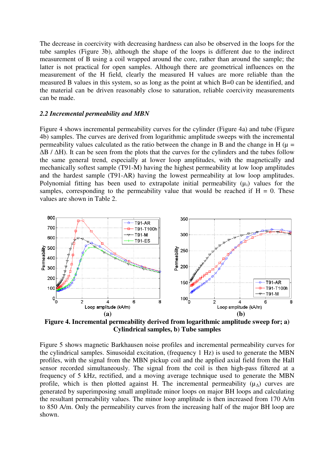The decrease in coercivity with decreasing hardness can also be observed in the loops for the tube samples (Figure 3b), although the shape of the loops is different due to the indirect measurement of B using a coil wrapped around the core, rather than around the sample; the latter is not practical for open samples. Although there are geometrical influences on the measurement of the H field, clearly the measured H values are more reliable than the measured B values in this system, so as long as the point at which B=0 can be identified, and the material can be driven reasonably close to saturation, reliable coercivity measurements can be made.

#### *2.2 Incremental permeability and MBN*

Figure 4 shows incremental permeability curves for the cylinder (Figure 4a) and tube (Figure 4b) samples. The curves are derived from logarithmic amplitude sweeps with the incremental permeability values calculated as the ratio between the change in B and the change in H ( $\mu$  = ∆B / ∆H). It can be seen from the plots that the curves for the cylinders and the tubes follow the same general trend, especially at lower loop amplitudes, with the magnetically and mechanically softest sample (T91-M) having the highest permeability at low loop amplitudes and the hardest sample (T91-AR) having the lowest permeability at low loop amplitudes. Polynomial fitting has been used to extrapolate initial permeability  $(\mu_i)$  values for the samples, corresponding to the permeability value that would be reached if  $H = 0$ . These values are shown in Table 2.



**Figure 4. Incremental permeability derived from logarithmic amplitude sweep for; a) Cylindrical samples, b) Tube samples** 

Figure 5 shows magnetic Barkhausen noise profiles and incremental permeability curves for the cylindrical samples. Sinusoidal excitation, (frequency 1 Hz) is used to generate the MBN profiles, with the signal from the MBN pickup coil and the applied axial field from the Hall sensor recorded simultaneously. The signal from the coil is then high-pass filtered at a frequency of 5 kHz, rectified, and a moving average technique used to generate the MBN profile, which is then plotted against H. The incremental permeability  $(\mu_{\Lambda})$  curves are generated by superimposing small amplitude minor loops on major BH loops and calculating the resultant permeability values. The minor loop amplitude is then increased from 170 A/m to 850 A/m. Only the permeability curves from the increasing half of the major BH loop are shown.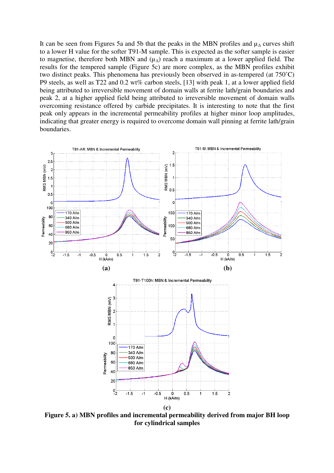It can be seen from Figures 5a and 5b that the peaks in the MBN profiles and  $\mu_{\Lambda}$  curves shift to a lower H value for the softer T91-M sample. This is expected as the softer sample is easier to magnetise, therefore both MBN and  $(\mu_{\Lambda})$  reach a maximum at a lower applied field. The results for the tempered sample (Figure 5c) are more complex, as the MBN profiles exhibit two distinct peaks. This phenomena has previously been observed in as-tempered (at 750˚C) P9 steels, as well as T22 and 0.2 wt% carbon steels, [13] with peak 1, at a lower applied field being attributed to irreversible movement of domain walls at ferrite lath/grain boundaries and peak 2, at a higher applied field being attributed to irreversible movement of domain walls overcoming resistance offered by carbide precipitates. It is interesting to note that the first peak only appears in the incremental permeability profiles at higher minor loop amplitudes, indicating that greater energy is required to overcome domain wall pinning at ferrite lath/grain boundaries.



**Figure 5. a) MBN profiles and incremental permeability derived from major BH loop for cylindrical samples**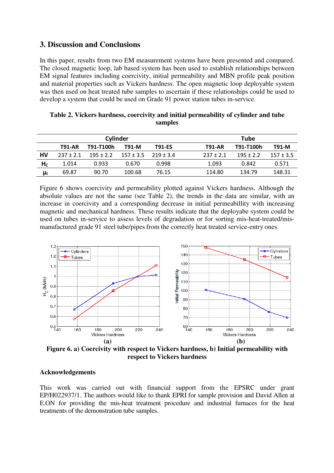## **3. Discussion and Conclusions**

In this paper, results from two EM measurement systems have been presented and compared. The closed magnetic loop, lab based system has been used to establish relationships between EM signal features including coercivity, initial permeability and MBN profile peak position and material properties such as Vickers hardness. The open magnetic loop deployable system was then used on heat treated tube samples to ascertain if these relationships could be used to develop a system that could be used on Grade 91 power station tubes in-service.

|                |               | Cylinder      |                             | <b>Tube</b>   |                                             |  |  |
|----------------|---------------|---------------|-----------------------------|---------------|---------------------------------------------|--|--|
|                | <b>T91-AR</b> | T91-T100h     | T91-M                       | <b>T91-ES</b> | T91-M<br>T91-T100h<br><b>T91-AR</b>         |  |  |
| HV             | $237 \pm 2.1$ | $195 \pm 2.2$ | $157 \pm 3.5$ $219 \pm 3.4$ |               | $195 + 2.2$<br>$237 + 2.1$<br>$157 \pm 3.5$ |  |  |
| H <sub>c</sub> | 1.014         | 0.933         | 0.670                       | 0.998         | 1.093<br>0.842<br>0.571                     |  |  |
| μi             | 69.87         | 90.70         | 100.68                      | 76.15         | 148.31<br>134.79<br>114.80                  |  |  |

|  |         | Table 2. Vickers hardness, coercivity and initial permeability of cylinder and tube |  |
|--|---------|-------------------------------------------------------------------------------------|--|
|  | samples |                                                                                     |  |

Figure 6 shows coercivity and permeability plotted against Vickers hardness. Although the absolute values are not the same (see Table 2), the trends in the data are similar, with an increase in coercivity and a corresponding decrease in initial permeabillity with increasing magnetic and mechanical hardness. These results indicate that the deployabe system could be used on tubes in-service to assess levels of degradation or for sorting mis-heat-treated/mismanufactured grade 91 steel tube/pipes from the correctly heat treated service-entry ones.



**Figure 6. a) Coercivity with respect to Vickers hardness, b) Initial permeability with respect to Vickers hardness** 

#### **Acknowledgements**

This work was carried out with financial support from the EPSRC under grant EP/H022937/1. The authors would like to thank EPRI for sample provision and David Allen at E.ON for providing the mis-heat treatment procedure and industrial furnaces for the heat treatments of the demonstration tube samples.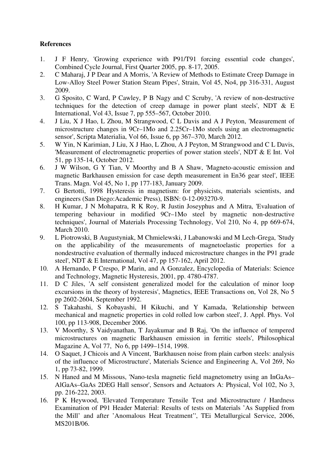### **References**

- 1. J F Henry, 'Growing experience with P91/T91 forcing essential code changes', Combined Cycle Journal, First Quarter 2005, pp. 8-17, 2005.
- 2. C Maharaj, J P Dear and A Morris, 'A Review of Methods to Estimate Creep Damage in Low-Alloy Steel Power Station Steam Pipes', Strain, Vol 45, No4, pp 316-331, August 2009.
- 3. G Sposito, C Ward, P Cawley, P B Nagy and C Scruby, 'A review of non-destructive techniques for the detection of creep damage in power plant steels', NDT & E International, Vol 43, Issue 7, pp 555–567, October 2010.
- 4. J Liu, X J Hao, L Zhou, M Strangwood, C L Davis and A J Peyton, 'Measurement of microstructure changes in 9Cr–1Mo and 2.25Cr–1Mo steels using an electromagnetic sensor', Scripta Materialia, Vol 66, Issue 6, pp 367–370, March 2012.
- 5. W Yin, N Karimian, J Liu, X J Hao, L Zhou, A J Peyton, M Strangwood and C L Davis, 'Measurement of electromagnetic properties of power station steels', NDT & E Int. Vol 51, pp 135-14, October 2012.
- 6. J W Wilson, G Y Tian, V Moorthy and B A Shaw, 'Magneto-acoustic emission and magnetic Barkhausen emission for case depth measurement in En36 gear steel', IEEE Trans. Magn. Vol 45, No 1, pp 177-183, January 2009.
- 7. G Bertotti, 1998 Hysteresis in magnetism: for physicists, materials scientists, and engineers (San Diego:Academic Press), ISBN: 0-12-093270-9.
- 8. H Kumar, J N Mohapatra, R K Roy, R Justin Joseyphus and A Mitra, 'Evaluation of tempering behaviour in modified 9Cr–1Mo steel by magnetic non-destructive techniques', Journal of Materials Processing Technology, Vol 210, No 4, pp 669-674, March 2010.
- 9. L Piotrowski, B Augustyniak, M Chmielewski, J Labanowski and M Lech-Grega, 'Study on the applicability of the measurements of magnetoelastic properties for a nondestructive evaluation of thermally induced microstructure changes in the P91 grade steel', NDT & E International, Vol 47, pp 157-162, April 2012.
- 10. A Hernando, P Crespo, P Marin, and A Gonzalez, Encyclopedia of Materials: Science and Technology, Magnetic Hysteresis, 2001, pp. 4780-4787.
- 11. D C Jiles, 'A self consistent generalized model for the calculation of minor loop excursions in the theory of hysteresis', Magnetics, IEEE Transactions on, Vol 28, No 5 pp 2602-2604, September 1992.
- 12. S Takahashi, S Kobayashi, H Kikuchi, and Y Kamada, 'Relationship between mechanical and magnetic properties in cold rolled low carbon steel', J. Appl. Phys. Vol 100, pp 113-908, December 2006.
- 13. V Moorthy, S Vaidyanathan, T Jayakumar and B Raj, 'On the influence of tempered microstructures on magnetic Barkhausen emission in ferritic steels', Philosophical Magazine A, Vol 77, No 6, pp 1499–1514, 1998.
- 14. O Saquet, J Chicois and A Vincent, 'Barkhausen noise from plain carbon steels: analysis of the influence of Microstructure', Materials Science and Engineering A, Vol 269, No 1, pp 73-82, 1999.
- 15. N Haned and M Missous, 'Nano-tesla magnetic field magnetometry using an InGaAs– AlGaAs–GaAs 2DEG Hall sensor', Sensors and Actuators A: Physical, Vol 102, No 3, pp. 216-222, 2003.
- 16. P K Heywood, 'Elevated Temperature Tensile Test and Microstructure / Hardness Examination of P91 Header Material: Results of tests on Materials 'As Supplied from the Mill' and after 'Anomalous Heat Treatment'', TEi Metallurgical Service, 2006, MS201B/06.